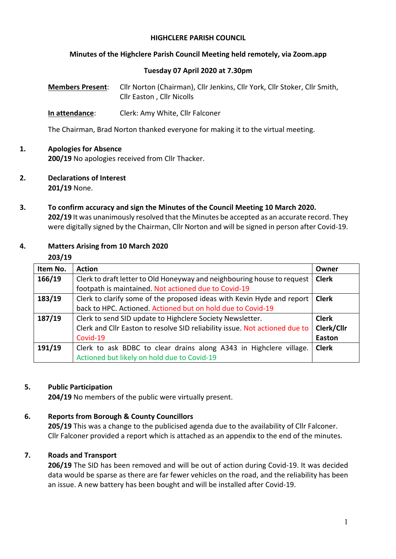#### **HIGHCLERE PARISH COUNCIL**

#### **Minutes of the Highclere Parish Council Meeting held remotely, via Zoom.app**

#### **Tuesday 07 April 2020 at 7.30pm**

**Members Present**: Cllr Norton (Chairman), Cllr Jenkins, Cllr York, Cllr Stoker, Cllr Smith, Cllr Easton , Cllr Nicolls

**In attendance**: Clerk: Amy White, Cllr Falconer

The Chairman, Brad Norton thanked everyone for making it to the virtual meeting.

### **1. Apologies for Absence**

**200/19** No apologies received from Cllr Thacker.

- **2. Declarations of Interest 201/19** None.
- **3. To confirm accuracy and sign the Minutes of the Council Meeting 10 March 2020. 202/19** It was unanimously resolved that the Minutes be accepted as an accurate record. They were digitally signed by the Chairman, Cllr Norton and will be signed in person after Covid-19.

### **4. Matters Arising from 10 March 2020**

#### **203/19**

| Item No. | <b>Action</b>                                                               | Owner         |
|----------|-----------------------------------------------------------------------------|---------------|
| 166/19   | Clerk to draft letter to Old Honeyway and neighbouring house to request     | <b>Clerk</b>  |
|          | footpath is maintained. Not actioned due to Covid-19                        |               |
| 183/19   | Clerk to clarify some of the proposed ideas with Kevin Hyde and report      | <b>Clerk</b>  |
|          | back to HPC. Actioned. Actioned but on hold due to Covid-19                 |               |
| 187/19   | Clerk to send SID update to Highclere Society Newsletter.                   | <b>Clerk</b>  |
|          | Clerk and Cllr Easton to resolve SID reliability issue. Not actioned due to | Clerk/Cllr    |
|          | Covid-19                                                                    | <b>Easton</b> |
| 191/19   | Clerk to ask BDBC to clear drains along A343 in Highclere village.          | <b>Clerk</b>  |
|          | Actioned but likely on hold due to Covid-19                                 |               |

#### **5. Public Participation**

**204/19** No members of the public were virtually present.

### **6. Reports from Borough & County Councillors**

**205/19** This was a change to the publicised agenda due to the availability of Cllr Falconer. Cllr Falconer provided a report which is attached as an appendix to the end of the minutes.

### **7. Roads and Transport**

**206/19** The SID has been removed and will be out of action during Covid-19. It was decided data would be sparse as there are far fewer vehicles on the road, and the reliability has been an issue. A new battery has been bought and will be installed after Covid-19.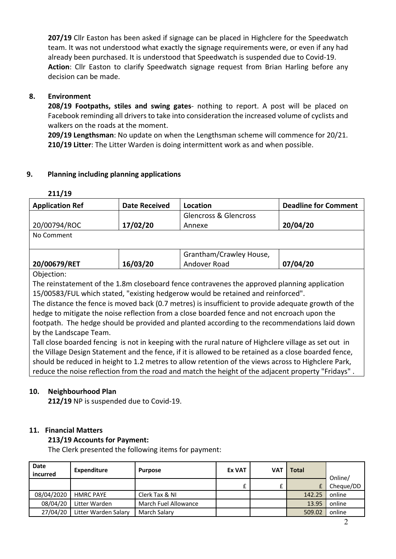**207/19** Cllr Easton has been asked if signage can be placed in Highclere for the Speedwatch team. It was not understood what exactly the signage requirements were, or even if any had already been purchased. It is understood that Speedwatch is suspended due to Covid-19. **Action**: Cllr Easton to clarify Speedwatch signage request from Brian Harling before any decision can be made.

## **8. Environment**

**208/19 Footpaths, stiles and swing gates**- nothing to report. A post will be placed on Facebook reminding all drivers to take into consideration the increased volume of cyclists and walkers on the roads at the moment.

**209/19 Lengthsman**: No update on when the Lengthsman scheme will commence for 20/21. **210/19 Litter**: The Litter Warden is doing intermittent work as and when possible.

### **9. Planning including planning applications**

| <b>Application Ref</b> | <b>Date Received</b> | Location                         | <b>Deadline for Comment</b> |
|------------------------|----------------------|----------------------------------|-----------------------------|
|                        |                      | <b>Glencross &amp; Glencross</b> |                             |
| 20/00794/ROC           | 17/02/20             | Annexe                           | 20/04/20                    |
| No Comment             |                      |                                  |                             |
|                        |                      |                                  |                             |
|                        |                      | Grantham/Crawley House,          |                             |
| 20/00679/RET           | 16/03/20             | Andover Road                     | 07/04/20                    |
|                        |                      |                                  |                             |

Objection:

The reinstatement of the 1.8m closeboard fence contravenes the approved planning application 15/00583/FUL which stated, "existing hedgerow would be retained and reinforced".

The distance the fence is moved back (0.7 metres) is insufficient to provide adequate growth of the hedge to mitigate the noise reflection from a close boarded fence and not encroach upon the footpath. The hedge should be provided and planted according to the recommendations laid down by the Landscape Team.

Tall close boarded fencing is not in keeping with the rural nature of Highclere village as set out in the Village Design Statement and the fence, if it is allowed to be retained as a close boarded fence, should be reduced in height to 1.2 metres to allow retention of the views across to Highclere Park, reduce the noise reflection from the road and match the height of the adjacent property "Fridays" .

# **10. Neighbourhood Plan**

**212/19** NP is suspended due to Covid-19.

# **11. Financial Matters**

### **213/19 Accounts for Payment:**

The Clerk presented the following items for payment:

| <b>Date</b><br>incurred | Expenditure          | <b>Purpose</b>       | <b>Ex VAT</b> | <b>VAT</b> | Total  | Online/   |
|-------------------------|----------------------|----------------------|---------------|------------|--------|-----------|
|                         |                      |                      | £             |            |        | Cheque/DD |
| 08/04/2020              | <b>HMRC PAYE</b>     | Clerk Tax & NI       |               |            | 142.25 | online    |
| 08/04/20                | Litter Warden        | March Fuel Allowance |               |            | 13.95  | online    |
| 27/04/20                | Litter Warden Salary | March Salary         |               |            | 509.02 | online    |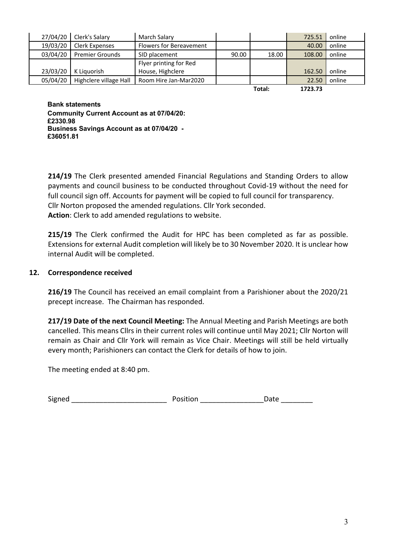|          | 27/04/20 Clerk's Salary | March Salary                   |       |         | 725.51 | online |
|----------|-------------------------|--------------------------------|-------|---------|--------|--------|
| 19/03/20 | Clerk Expenses          | <b>Flowers for Bereavement</b> |       |         | 40.00  | online |
| 03/04/20 | <b>Premier Grounds</b>  | SID placement                  | 90.00 | 18.00   | 108.00 | online |
|          |                         | Flyer printing for Red         |       |         |        |        |
| 23/03/20 | K Liauorish             | House, Highclere               |       |         | 162.50 | online |
| 05/04/20 | Highclere village Hall  | Room Hire Jan-Mar2020          |       |         | 22.50  | online |
|          |                         |                                |       | $T = 1$ | 17227  |        |

**Total: 1723.73**

**Bank statements Community Current Account as at 07/04/20: £2330.98 Business Savings Account as at 07/04/20 - £36051.81**

**214/19** The Clerk presented amended Financial Regulations and Standing Orders to allow payments and council business to be conducted throughout Covid-19 without the need for full council sign off. Accounts for payment will be copied to full council for transparency. Cllr Norton proposed the amended regulations. Cllr York seconded. **Action**: Clerk to add amended regulations to website.

**215/19** The Clerk confirmed the Audit for HPC has been completed as far as possible. Extensions for external Audit completion will likely be to 30 November 2020. It is unclear how internal Audit will be completed.

### **12. Correspondence received**

**216/19** The Council has received an email complaint from a Parishioner about the 2020/21 precept increase. The Chairman has responded.

**217/19 Date of the next Council Meeting:** The Annual Meeting and Parish Meetings are both cancelled. This means Cllrs in their current roles will continue until May 2021; Cllr Norton will remain as Chair and Cllr York will remain as Vice Chair. Meetings will still be held virtually every month; Parishioners can contact the Clerk for details of how to join.

The meeting ended at 8:40 pm.

Signed \_\_\_\_\_\_\_\_\_\_\_\_\_\_\_\_\_\_\_\_\_\_\_\_ Position \_\_\_\_\_\_\_\_\_\_\_\_\_\_\_\_Date \_\_\_\_\_\_\_\_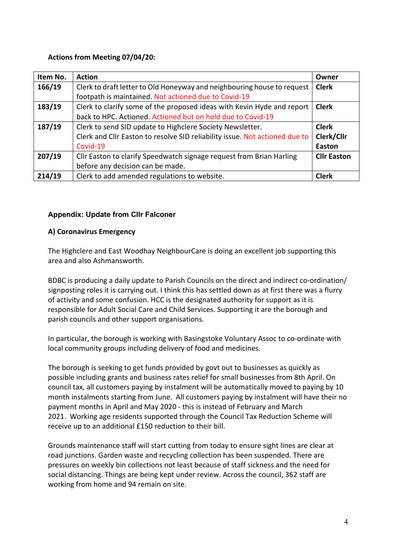#### **Actions from Meeting 07/04/20:**

| Item No. | <b>Action</b>                                                               | Owner              |
|----------|-----------------------------------------------------------------------------|--------------------|
| 166/19   | Clerk to draft letter to Old Honeyway and neighbouring house to request     | <b>Clerk</b>       |
|          | footpath is maintained. Not actioned due to Covid-19                        |                    |
| 183/19   | Clerk to clarify some of the proposed ideas with Kevin Hyde and report      |                    |
|          | back to HPC. Actioned. Actioned but on hold due to Covid-19                 |                    |
| 187/19   | Clerk to send SID update to Highclere Society Newsletter.                   | <b>Clerk</b>       |
|          | Clerk and Cllr Easton to resolve SID reliability issue. Not actioned due to | Clerk/Cllr         |
|          | Covid-19                                                                    | Easton             |
| 207/19   | Cllr Easton to clarify Speedwatch signage request from Brian Harling        | <b>Cllr Easton</b> |
|          | before any decision can be made.                                            |                    |
| 214/19   | Clerk to add amended regulations to website.                                | <b>Clerk</b>       |

### **Appendix: Update from Cllr Falconer**

#### **A) Coronavirus Emergency**

The Highclere and East Woodhay NeighbourCare is doing an excellent job supporting this area and also Ashmansworth.

BDBC is producing a daily update to Parish Councils on the direct and indirect co-ordination/ signposting roles it is carrying out. I think this has settled down as at first there was a flurry of activity and some confusion. HCC is the designated authority for support as it is responsible for Adult Social Care and Child Services. Supporting it are the borough and parish councils and other support organisations.

In particular, the borough is working with Basingstoke Voluntary Assoc to co-ordinate with local community groups including delivery of food and medicines.

The borough is seeking to get funds provided by govt out to businesses as quickly as possible including grants and business rates relief for small businesses from 8th April. On council tax, all customers paying by instalment will be automatically moved to paying by 10 month instalments starting from June. All customers paying by instalment will have their no payment months in April and May 2020 - this is instead of February and March 2021. Working age residents supported through the Council Tax Reduction Scheme will receive up to an additional £150 reduction to their bill.

Grounds maintenance staff will start cutting from today to ensure sight lines are clear at road junctions. Garden waste and recycling collection has been suspended. There are pressures on weekly bin collections not least because of staff sickness and the need for social distancing. Things are being kept under review. Across the council, 362 staff are working from home and 94 remain on site.